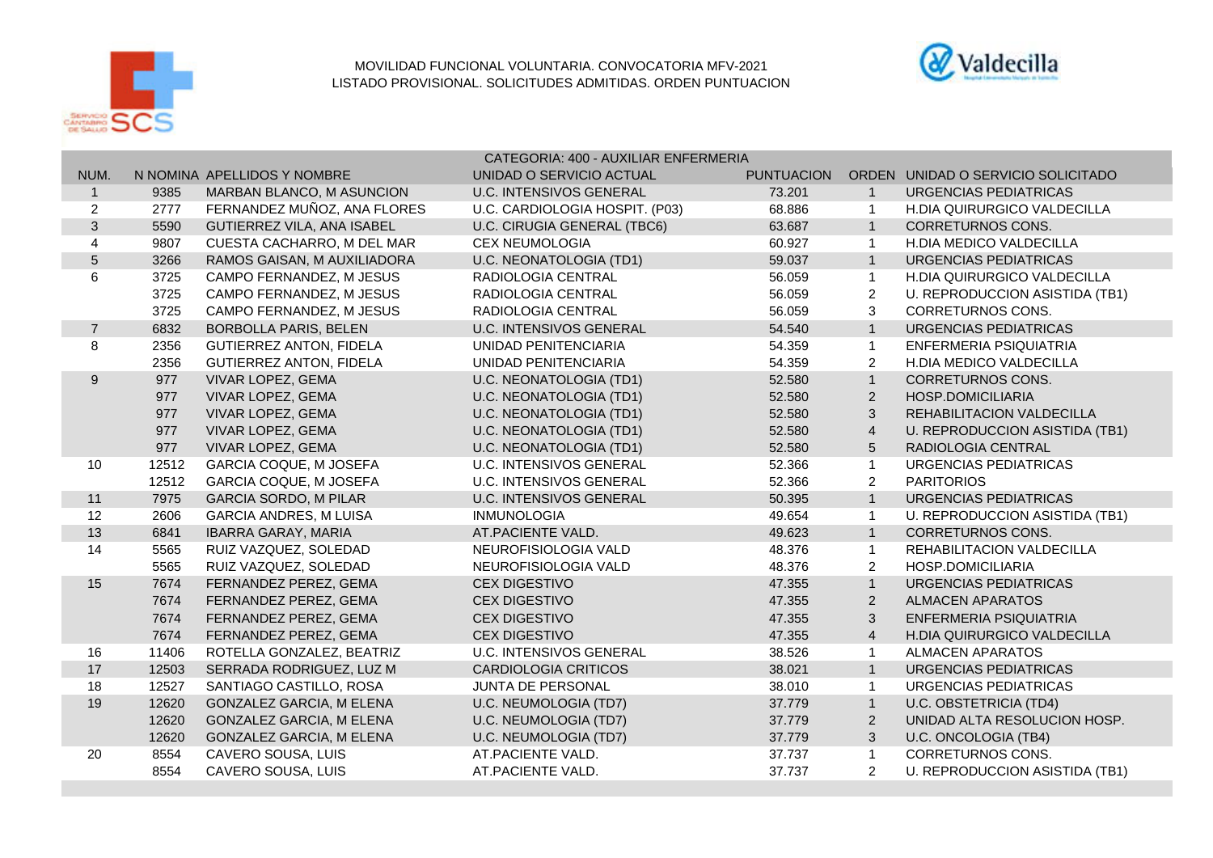



|                  |       |                                 | CATEGORIA: 400 - AUXILIAR ENFERMERIA |                   |                |                                    |  |
|------------------|-------|---------------------------------|--------------------------------------|-------------------|----------------|------------------------------------|--|
| NUM.             |       | N NOMINA APELLIDOS Y NOMBRE     | UNIDAD O SERVICIO ACTUAL             | <b>PUNTUACION</b> |                | ORDEN UNIDAD O SERVICIO SOLICITADO |  |
| $\mathbf{1}$     | 9385  | MARBAN BLANCO, M ASUNCION       | <b>U.C. INTENSIVOS GENERAL</b>       | 73.201            | $\overline{1}$ | URGENCIAS PEDIATRICAS              |  |
| $\overline{2}$   | 2777  | FERNANDEZ MUÑOZ, ANA FLORES     | U.C. CARDIOLOGIA HOSPIT. (P03)       | 68.886            | -1             | <b>H.DIA QUIRURGICO VALDECILLA</b> |  |
| $\mathbf{3}$     | 5590  | GUTIERREZ VILA, ANA ISABEL      | U.C. CIRUGIA GENERAL (TBC6)          | 63.687            | $\overline{1}$ | <b>CORRETURNOS CONS.</b>           |  |
| 4                | 9807  | CUESTA CACHARRO, M DEL MAR      | <b>CEX NEUMOLOGIA</b>                | 60.927            | $\overline{1}$ | H.DIA MEDICO VALDECILLA            |  |
| $\overline{5}$   | 3266  | RAMOS GAISAN, M AUXILIADORA     | U.C. NEONATOLOGIA (TD1)              | 59.037            | $\overline{1}$ | <b>URGENCIAS PEDIATRICAS</b>       |  |
| 6                | 3725  | CAMPO FERNANDEZ, M JESUS        | RADIOLOGIA CENTRAL                   | 56.059            | $\mathbf{1}$   | H.DIA QUIRURGICO VALDECILLA        |  |
|                  | 3725  | CAMPO FERNANDEZ, M JESUS        | RADIOLOGIA CENTRAL                   | 56.059            | $\overline{2}$ | U. REPRODUCCION ASISTIDA (TB1)     |  |
|                  | 3725  | CAMPO FERNANDEZ, M JESUS        | RADIOLOGIA CENTRAL                   | 56.059            | 3              | <b>CORRETURNOS CONS.</b>           |  |
| $\overline{7}$   | 6832  | <b>BORBOLLA PARIS, BELEN</b>    | <b>U.C. INTENSIVOS GENERAL</b>       | 54.540            | $\overline{1}$ | URGENCIAS PEDIATRICAS              |  |
| 8                | 2356  | <b>GUTIERREZ ANTON, FIDELA</b>  | UNIDAD PENITENCIARIA                 | 54.359            | $\overline{1}$ | ENFERMERIA PSIQUIATRIA             |  |
|                  | 2356  | <b>GUTIERREZ ANTON, FIDELA</b>  | UNIDAD PENITENCIARIA                 | 54.359            | 2              | <b>H.DIA MEDICO VALDECILLA</b>     |  |
| $\boldsymbol{9}$ | 977   | VIVAR LOPEZ, GEMA               | U.C. NEONATOLOGIA (TD1)              | 52.580            | $\overline{1}$ | <b>CORRETURNOS CONS.</b>           |  |
|                  | 977   | VIVAR LOPEZ, GEMA               | U.C. NEONATOLOGIA (TD1)              | 52.580            | $\overline{2}$ | <b>HOSP.DOMICILIARIA</b>           |  |
|                  | 977   | VIVAR LOPEZ, GEMA               | <b>U.C. NEONATOLOGIA (TD1)</b>       | 52.580            | $\mathsf 3$    | REHABILITACION VALDECILLA          |  |
|                  | 977   | VIVAR LOPEZ, GEMA               | U.C. NEONATOLOGIA (TD1)              | 52.580            | $\overline{4}$ | U. REPRODUCCION ASISTIDA (TB1)     |  |
|                  | 977   | VIVAR LOPEZ, GEMA               | U.C. NEONATOLOGIA (TD1)              | 52.580            | $\sqrt{5}$     | RADIOLOGIA CENTRAL                 |  |
| 10               | 12512 | <b>GARCIA COQUE, M JOSEFA</b>   | <b>U.C. INTENSIVOS GENERAL</b>       | 52.366            | $\mathbf{1}$   | <b>URGENCIAS PEDIATRICAS</b>       |  |
|                  | 12512 | <b>GARCIA COQUE, M JOSEFA</b>   | <b>U.C. INTENSIVOS GENERAL</b>       | 52.366            | $\overline{2}$ | <b>PARITORIOS</b>                  |  |
| 11               | 7975  | <b>GARCIA SORDO, M PILAR</b>    | <b>U.C. INTENSIVOS GENERAL</b>       | 50.395            | $\overline{1}$ | <b>URGENCIAS PEDIATRICAS</b>       |  |
| 12               | 2606  | <b>GARCIA ANDRES, M LUISA</b>   | <b>INMUNOLOGIA</b>                   | 49.654            | $\overline{1}$ | U. REPRODUCCION ASISTIDA (TB1)     |  |
| 13               | 6841  | <b>IBARRA GARAY, MARIA</b>      | AT.PACIENTE VALD.                    | 49.623            | $\overline{1}$ | CORRETURNOS CONS.                  |  |
| 14               | 5565  | RUIZ VAZQUEZ, SOLEDAD           | NEUROFISIOLOGIA VALD                 | 48.376            | $\overline{1}$ | REHABILITACION VALDECILLA          |  |
|                  | 5565  | RUIZ VAZQUEZ, SOLEDAD           | NEUROFISIOLOGIA VALD                 | 48.376            | 2              | HOSP.DOMICILIARIA                  |  |
| 15               | 7674  | FERNANDEZ PEREZ, GEMA           | <b>CEX DIGESTIVO</b>                 | 47.355            | $\overline{1}$ | <b>URGENCIAS PEDIATRICAS</b>       |  |
|                  | 7674  | FERNANDEZ PEREZ, GEMA           | <b>CEX DIGESTIVO</b>                 | 47.355            | 2              | <b>ALMACEN APARATOS</b>            |  |
|                  | 7674  | FERNANDEZ PEREZ, GEMA           | <b>CEX DIGESTIVO</b>                 | 47.355            | 3              | ENFERMERIA PSIQUIATRIA             |  |
|                  | 7674  | FERNANDEZ PEREZ, GEMA           | <b>CEX DIGESTIVO</b>                 | 47.355            | $\overline{4}$ | H.DIA QUIRURGICO VALDECILLA        |  |
| 16               | 11406 | ROTELLA GONZALEZ, BEATRIZ       | <b>U.C. INTENSIVOS GENERAL</b>       | 38.526            | $\overline{1}$ | <b>ALMACEN APARATOS</b>            |  |
| 17               | 12503 | SERRADA RODRIGUEZ, LUZ M        | <b>CARDIOLOGIA CRITICOS</b>          | 38.021            | $\mathbf{1}$   | URGENCIAS PEDIATRICAS              |  |
| 18               | 12527 | SANTIAGO CASTILLO, ROSA         | <b>JUNTA DE PERSONAL</b>             | 38.010            | $\overline{1}$ | URGENCIAS PEDIATRICAS              |  |
| 19               | 12620 | <b>GONZALEZ GARCIA, M ELENA</b> | U.C. NEUMOLOGIA (TD7)                | 37.779            | $\overline{1}$ | U.C. OBSTETRICIA (TD4)             |  |
|                  | 12620 | GONZALEZ GARCIA, M ELENA        | U.C. NEUMOLOGIA (TD7)                | 37.779            | $\overline{2}$ | UNIDAD ALTA RESOLUCION HOSP.       |  |
|                  | 12620 | GONZALEZ GARCIA, M ELENA        | U.C. NEUMOLOGIA (TD7)                | 37.779            | $\mathbf{3}$   | U.C. ONCOLOGIA (TB4)               |  |
| 20               | 8554  | CAVERO SOUSA, LUIS              | AT.PACIENTE VALD.                    | 37.737            | $\overline{1}$ | CORRETURNOS CONS.                  |  |
|                  | 8554  | CAVERO SOUSA, LUIS              | AT.PACIENTE VALD.                    | 37.737            | $\overline{2}$ | U. REPRODUCCION ASISTIDA (TB1)     |  |
|                  |       |                                 |                                      |                   |                |                                    |  |